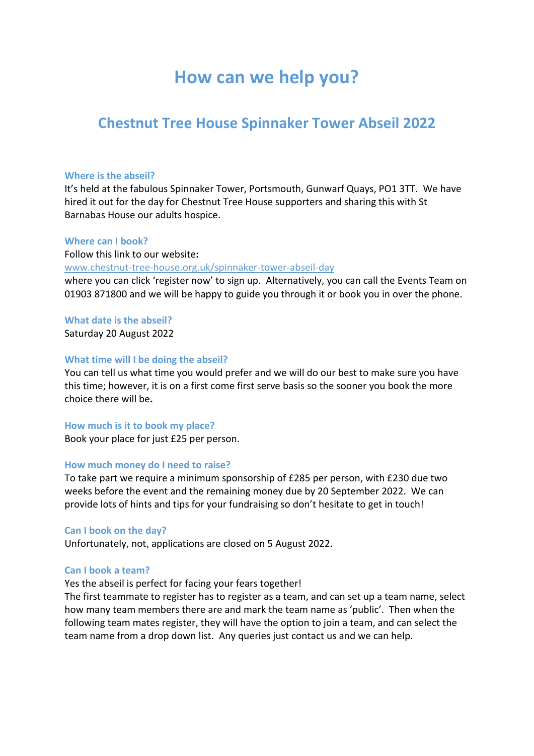# **How can we help you?**

## **Chestnut Tree House Spinnaker Tower Abseil 2022**

## **Where is the abseil?**

It's held at the fabulous Spinnaker Tower, Portsmouth, Gunwarf Quays, PO1 3TT. We have hired it out for the day for Chestnut Tree House supporters and sharing this with St Barnabas House our adults hospice.

## **Where can I book?**

Follow this link to our website**:** [www.chestnut-tree-house.org.uk/spinnaker-tower-abseil-day](http://www.chestnut-tree-house.org.uk/spinnaker-tower-abseil-day/) where you can click 'register now' to sign up. Alternatively, you can call the Events Team on 01903 871800 and we will be happy to guide you through it or book you in over the phone.

**What date is the abseil?**

Saturday 20 August 2022

## **What time will I be doing the abseil?**

You can tell us what time you would prefer and we will do our best to make sure you have this time; however, it is on a first come first serve basis so the sooner you book the more choice there will be**.**

## **How much is it to book my place?**

Book your place for just £25 per person.

## **How much money do I need to raise?**

To take part we require a minimum sponsorship of £285 per person, with £230 due two weeks before the event and the remaining money due by 20 September 2022. We can provide lots of hints and tips for your fundraising so don't hesitate to get in touch!

## **Can I book on the day?**

Unfortunately, not, applications are closed on 5 August 2022.

## **Can I book a team?**

## Yes the abseil is perfect for facing your fears together!

The first teammate to register has to register as a team, and can set up a team name, select how many team members there are and mark the team name as 'public'. Then when the following team mates register, they will have the option to join a team, and can select the team name from a drop down list. Any queries just contact us and we can help.